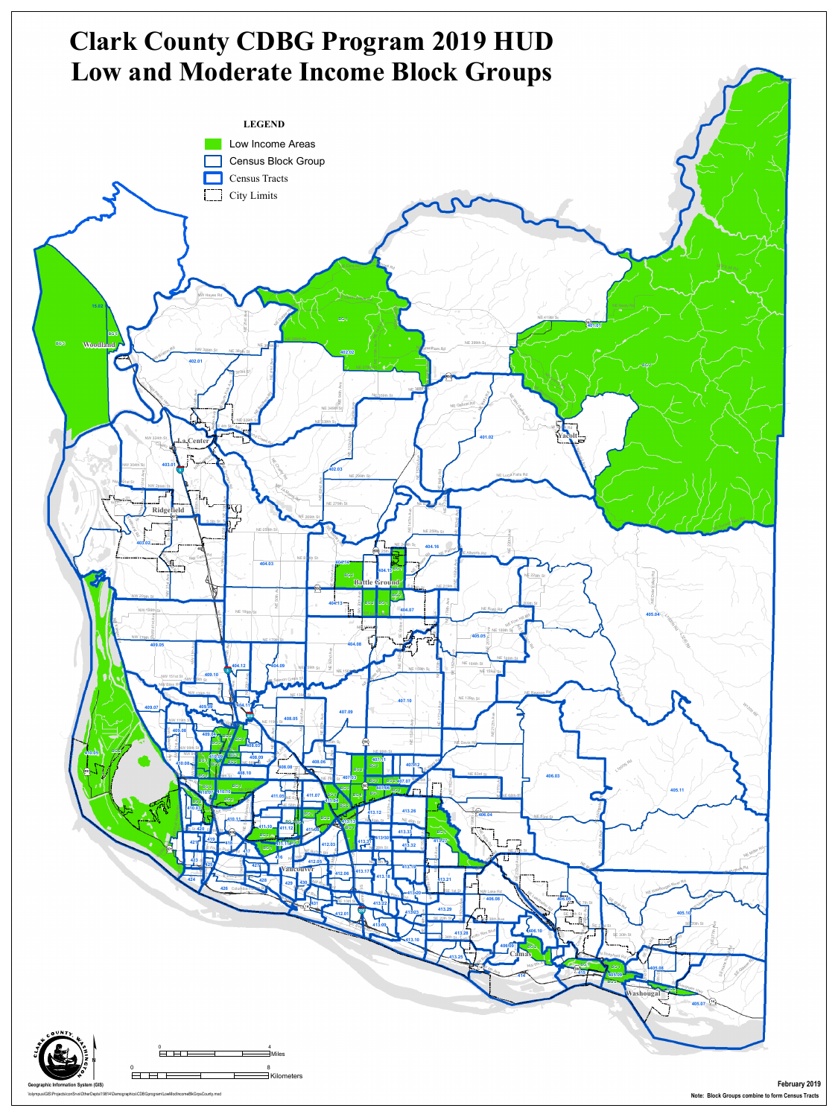

\\olympus\GIS\Projects\conSrvs\OtherDepts\19814\Demographics\CDBGprogram\LowModIncomeBlkGrpsCounty.mxd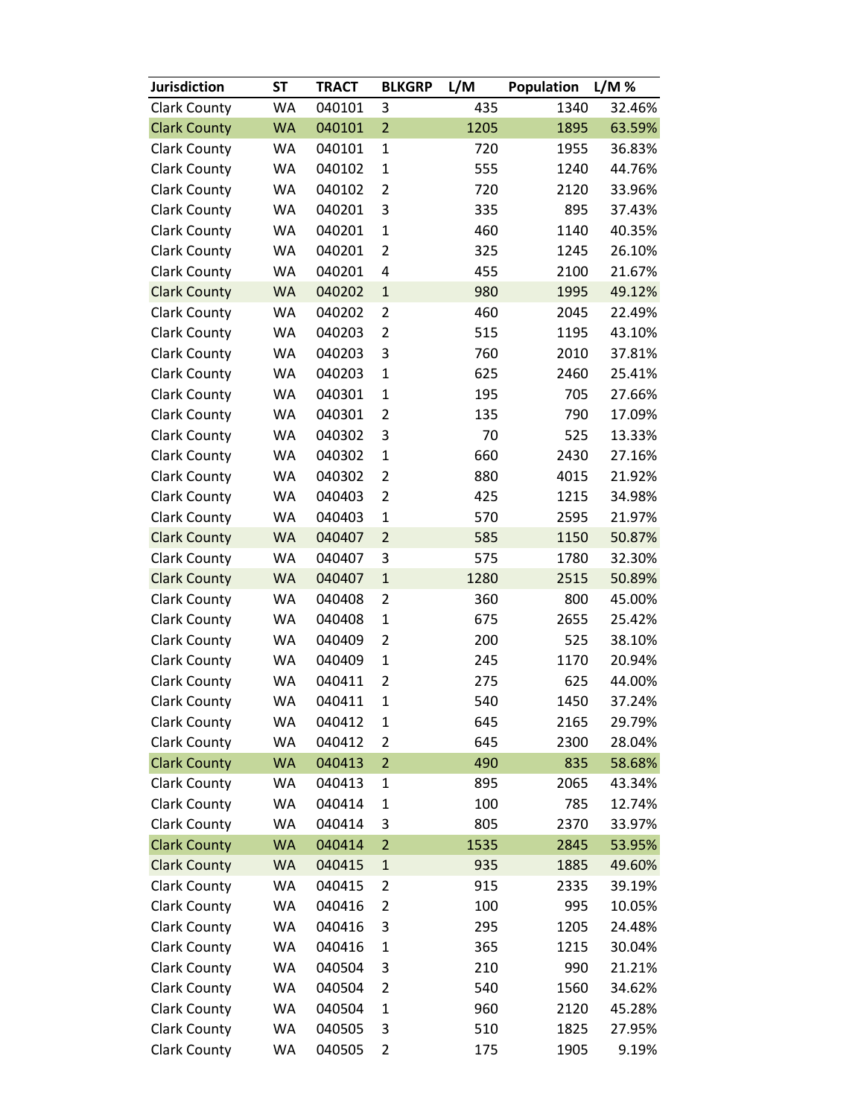| <b>Jurisdiction</b> | <b>ST</b> | <b>TRACT</b> | <b>BLKGRP</b>  | L/M  | Population | L/M %  |
|---------------------|-----------|--------------|----------------|------|------------|--------|
| <b>Clark County</b> | WA        | 040101       | 3              | 435  | 1340       | 32.46% |
| <b>Clark County</b> | <b>WA</b> | 040101       | $\overline{2}$ | 1205 | 1895       | 63.59% |
| <b>Clark County</b> | WA        | 040101       | $\mathbf{1}$   | 720  | 1955       | 36.83% |
| <b>Clark County</b> | WA        | 040102       | $\mathbf{1}$   | 555  | 1240       | 44.76% |
| <b>Clark County</b> | WA        | 040102       | $\overline{2}$ | 720  | 2120       | 33.96% |
| <b>Clark County</b> | WA        | 040201       | 3              | 335  | 895        | 37.43% |
| <b>Clark County</b> | WA        | 040201       | $\mathbf{1}$   | 460  | 1140       | 40.35% |
| <b>Clark County</b> | WA        | 040201       | $\overline{2}$ | 325  | 1245       | 26.10% |
| <b>Clark County</b> | WA        | 040201       | 4              | 455  | 2100       | 21.67% |
| <b>Clark County</b> | <b>WA</b> | 040202       | $\mathbf{1}$   | 980  | 1995       | 49.12% |
| <b>Clark County</b> | WA        | 040202       | 2              | 460  | 2045       | 22.49% |
| <b>Clark County</b> | WA        | 040203       | $\overline{2}$ | 515  | 1195       | 43.10% |
| <b>Clark County</b> | WA        | 040203       | 3              | 760  | 2010       | 37.81% |
| <b>Clark County</b> | WA        | 040203       | $\mathbf{1}$   | 625  | 2460       | 25.41% |
| <b>Clark County</b> | WA        | 040301       | $\mathbf{1}$   | 195  | 705        | 27.66% |
| <b>Clark County</b> | WA        | 040301       | $\overline{2}$ | 135  | 790        | 17.09% |
| <b>Clark County</b> | WA        | 040302       | 3              | 70   | 525        | 13.33% |
| <b>Clark County</b> | WA        | 040302       | $\mathbf{1}$   | 660  | 2430       | 27.16% |
| <b>Clark County</b> | WA        | 040302       | $\overline{2}$ | 880  | 4015       | 21.92% |
| <b>Clark County</b> | WA        | 040403       | $\overline{2}$ | 425  | 1215       | 34.98% |
| <b>Clark County</b> | WA        | 040403       | $\mathbf{1}$   | 570  | 2595       | 21.97% |
| <b>Clark County</b> | <b>WA</b> | 040407       | $\overline{2}$ | 585  | 1150       | 50.87% |
| <b>Clark County</b> | WA        | 040407       | 3              | 575  | 1780       | 32.30% |
| <b>Clark County</b> | <b>WA</b> | 040407       | $\mathbf 1$    | 1280 | 2515       | 50.89% |
| <b>Clark County</b> | WA        | 040408       | $\overline{2}$ | 360  | 800        | 45.00% |
| <b>Clark County</b> | WA        | 040408       | $\mathbf{1}$   | 675  | 2655       | 25.42% |
| <b>Clark County</b> | WA        | 040409       | $\overline{2}$ | 200  | 525        | 38.10% |
| <b>Clark County</b> | WA        | 040409       | $\mathbf{1}$   | 245  | 1170       | 20.94% |
| <b>Clark County</b> | WA        | 040411       | $\overline{2}$ | 275  | 625        | 44.00% |
| <b>Clark County</b> | WA        | 040411       | $\mathbf{1}$   | 540  | 1450       | 37.24% |
| <b>Clark County</b> | WA        | 040412       | 1              | 645  | 2165       | 29.79% |
| <b>Clark County</b> | WA        | 040412       | $\overline{2}$ | 645  | 2300       | 28.04% |
| <b>Clark County</b> | <b>WA</b> | 040413       | $\overline{2}$ | 490  | 835        | 58.68% |
| <b>Clark County</b> | WA        | 040413       | $\mathbf{1}$   | 895  | 2065       | 43.34% |
| <b>Clark County</b> | WA        | 040414       | $\mathbf{1}$   | 100  | 785        | 12.74% |
| <b>Clark County</b> | WA        | 040414       | 3              | 805  | 2370       | 33.97% |
| <b>Clark County</b> | <b>WA</b> | 040414       | $\overline{2}$ | 1535 | 2845       | 53.95% |
| <b>Clark County</b> | <b>WA</b> | 040415       | $\mathbf 1$    | 935  | 1885       | 49.60% |
| <b>Clark County</b> | WA        | 040415       | $\overline{2}$ | 915  | 2335       | 39.19% |
| <b>Clark County</b> | WA        | 040416       | $\overline{2}$ | 100  | 995        | 10.05% |
| <b>Clark County</b> | WA        | 040416       | 3              | 295  | 1205       | 24.48% |
| <b>Clark County</b> | WA        | 040416       | $\mathbf{1}$   | 365  | 1215       | 30.04% |
| <b>Clark County</b> | WA        | 040504       | 3              | 210  | 990        | 21.21% |
| <b>Clark County</b> | WA        | 040504       | $\overline{2}$ | 540  | 1560       | 34.62% |
| <b>Clark County</b> | WA        | 040504       | $\mathbf{1}$   | 960  | 2120       | 45.28% |
| <b>Clark County</b> | WA        | 040505       | 3              | 510  | 1825       | 27.95% |
| <b>Clark County</b> | WA        | 040505       | $\overline{2}$ | 175  | 1905       | 9.19%  |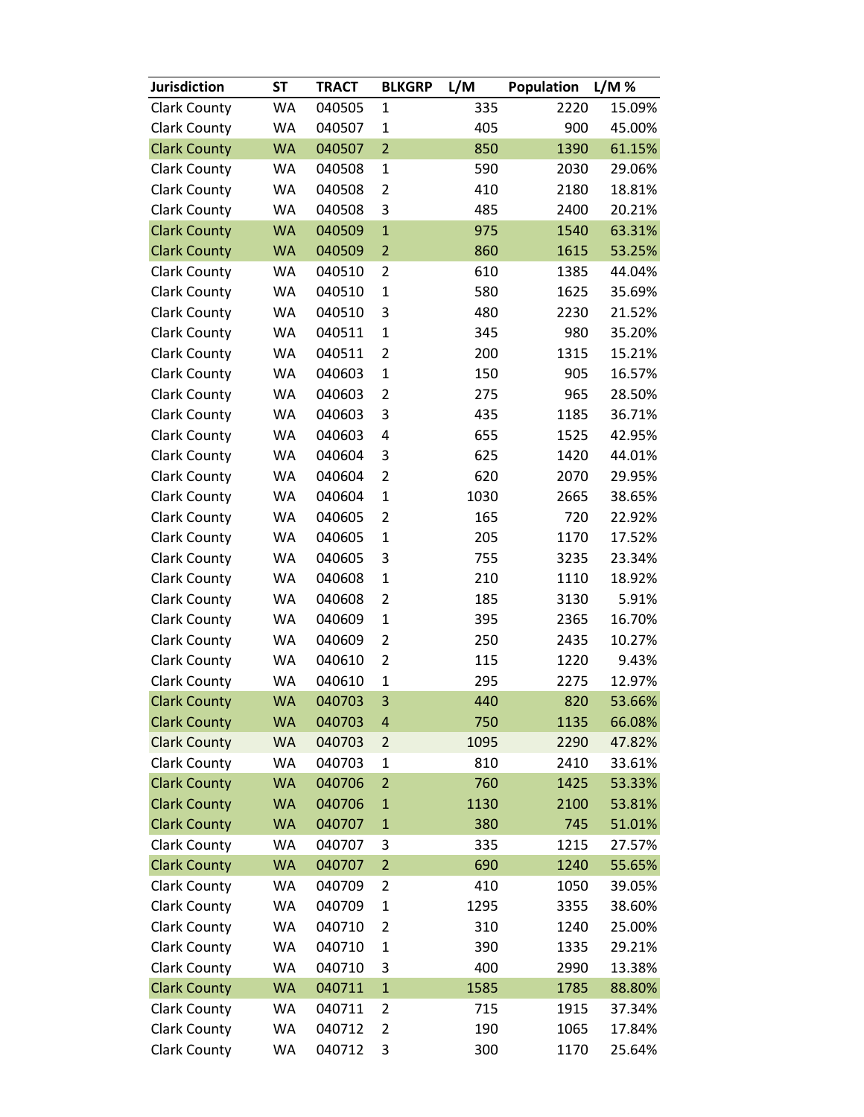| <b>Jurisdiction</b> | <b>ST</b> | <b>TRACT</b> | <b>BLKGRP</b>  | L/M  | Population | L/M%   |
|---------------------|-----------|--------------|----------------|------|------------|--------|
| <b>Clark County</b> | WA        | 040505       | $\mathbf{1}$   | 335  | 2220       | 15.09% |
| <b>Clark County</b> | WA        | 040507       | $\mathbf{1}$   | 405  | 900        | 45.00% |
| <b>Clark County</b> | <b>WA</b> | 040507       | $\overline{2}$ | 850  | 1390       | 61.15% |
| <b>Clark County</b> | WA        | 040508       | $\mathbf 1$    | 590  | 2030       | 29.06% |
| <b>Clark County</b> | WA        | 040508       | $\overline{2}$ | 410  | 2180       | 18.81% |
| <b>Clark County</b> | WA        | 040508       | 3              | 485  | 2400       | 20.21% |
| <b>Clark County</b> | <b>WA</b> | 040509       | $\mathbf{1}$   | 975  | 1540       | 63.31% |
| <b>Clark County</b> | <b>WA</b> | 040509       | $\overline{2}$ | 860  | 1615       | 53.25% |
| <b>Clark County</b> | WA        | 040510       | $\overline{2}$ | 610  | 1385       | 44.04% |
| <b>Clark County</b> | WA        | 040510       | $\mathbf{1}$   | 580  | 1625       | 35.69% |
| <b>Clark County</b> | WA        | 040510       | 3              | 480  | 2230       | 21.52% |
| <b>Clark County</b> | WA        | 040511       | $\mathbf{1}$   | 345  | 980        | 35.20% |
| <b>Clark County</b> | WA        | 040511       | $\overline{2}$ | 200  | 1315       | 15.21% |
| <b>Clark County</b> | WA        | 040603       | $\mathbf{1}$   | 150  | 905        | 16.57% |
| <b>Clark County</b> | WA        | 040603       | $\overline{2}$ | 275  | 965        | 28.50% |
| <b>Clark County</b> | WA        | 040603       | 3              | 435  | 1185       | 36.71% |
| <b>Clark County</b> | WA        | 040603       | 4              | 655  | 1525       | 42.95% |
| <b>Clark County</b> | WA        | 040604       | 3              | 625  | 1420       | 44.01% |
| <b>Clark County</b> | WA        | 040604       | $\overline{2}$ | 620  | 2070       | 29.95% |
| <b>Clark County</b> | WA        | 040604       | $\mathbf{1}$   | 1030 | 2665       | 38.65% |
| <b>Clark County</b> | WA        | 040605       | $\overline{2}$ | 165  | 720        | 22.92% |
| <b>Clark County</b> | WA        | 040605       | $\mathbf{1}$   | 205  | 1170       | 17.52% |
| <b>Clark County</b> | WA        | 040605       | 3              | 755  | 3235       | 23.34% |
| <b>Clark County</b> | WA        | 040608       | $\mathbf{1}$   | 210  | 1110       | 18.92% |
| <b>Clark County</b> | WA        | 040608       | $\overline{2}$ | 185  | 3130       | 5.91%  |
| <b>Clark County</b> | WA        | 040609       | $\mathbf{1}$   | 395  | 2365       | 16.70% |
| <b>Clark County</b> | WA        | 040609       | $\overline{2}$ | 250  | 2435       | 10.27% |
| <b>Clark County</b> | WA        | 040610       | $\overline{2}$ | 115  | 1220       | 9.43%  |
| <b>Clark County</b> | WA        | 040610       | $\mathbf 1$    | 295  | 2275       | 12.97% |
| <b>Clark County</b> | <b>WA</b> | 040703       | 3              | 440  | 820        | 53.66% |
| <b>Clark County</b> | <b>WA</b> | 040703       | $\overline{a}$ | 750  | 1135       | 66.08% |
| <b>Clark County</b> | <b>WA</b> | 040703       | $\overline{2}$ | 1095 | 2290       | 47.82% |
| <b>Clark County</b> | WA        | 040703       | $\mathbf{1}$   | 810  | 2410       | 33.61% |
| <b>Clark County</b> | <b>WA</b> | 040706       | $\overline{2}$ | 760  | 1425       | 53.33% |
| <b>Clark County</b> | <b>WA</b> | 040706       | $\mathbf{1}$   | 1130 | 2100       | 53.81% |
| <b>Clark County</b> | <b>WA</b> | 040707       | $\mathbf{1}$   | 380  | 745        | 51.01% |
| <b>Clark County</b> | WA        | 040707       | 3              | 335  | 1215       | 27.57% |
| <b>Clark County</b> | <b>WA</b> | 040707       | $\overline{2}$ | 690  | 1240       | 55.65% |
| <b>Clark County</b> | WA        | 040709       | $\overline{2}$ | 410  | 1050       | 39.05% |
| <b>Clark County</b> | WA        | 040709       | $\mathbf 1$    | 1295 | 3355       | 38.60% |
| <b>Clark County</b> | WA        | 040710       | $\overline{2}$ | 310  | 1240       | 25.00% |
| <b>Clark County</b> | WA        | 040710       | $\mathbf{1}$   | 390  | 1335       | 29.21% |
| <b>Clark County</b> | WA        | 040710       | 3              | 400  | 2990       | 13.38% |
| <b>Clark County</b> | <b>WA</b> | 040711       | $\mathbf{1}$   | 1585 | 1785       | 88.80% |
| <b>Clark County</b> | WA        | 040711       | 2              | 715  | 1915       | 37.34% |
| <b>Clark County</b> | WA        | 040712       | $\overline{2}$ | 190  | 1065       | 17.84% |
| <b>Clark County</b> | WA        | 040712       | 3              | 300  | 1170       | 25.64% |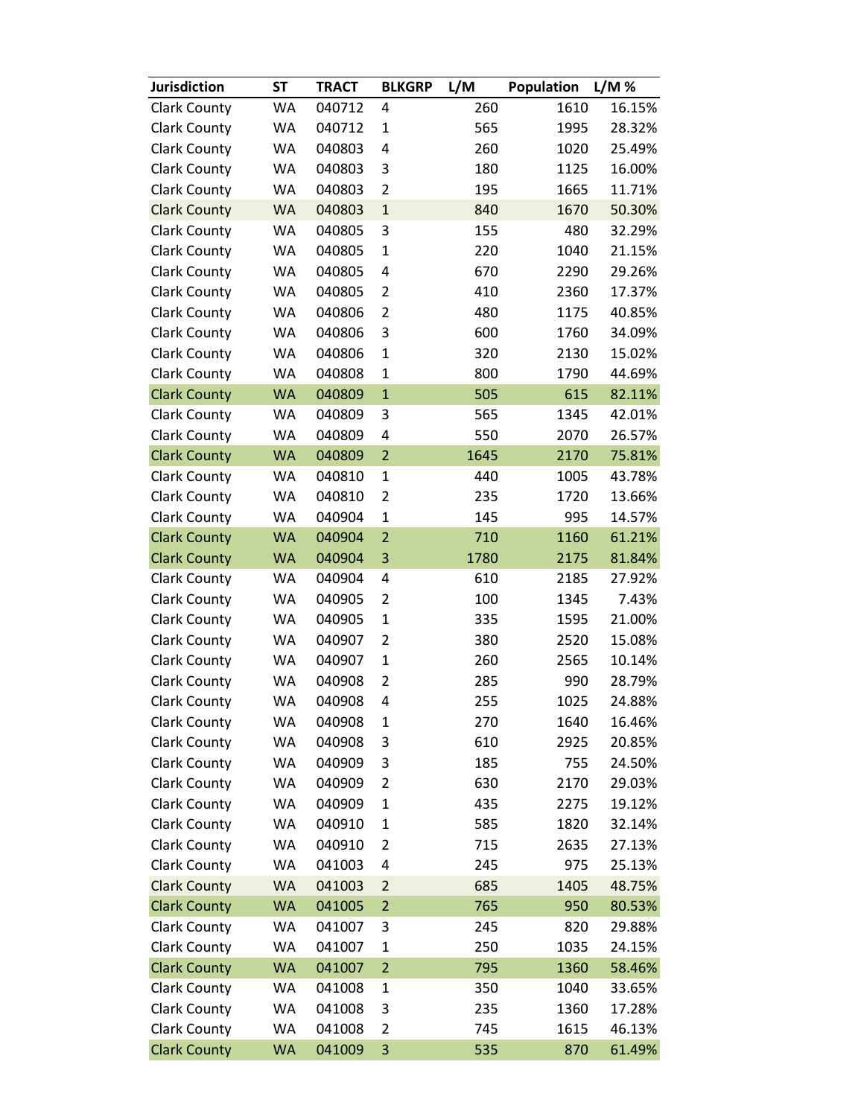| <b>Jurisdiction</b> | <b>ST</b> | <b>TRACT</b> | <b>BLKGRP</b>  | L/M  | Population | L/M%   |
|---------------------|-----------|--------------|----------------|------|------------|--------|
| <b>Clark County</b> | WA        | 040712       | 4              | 260  | 1610       | 16.15% |
| <b>Clark County</b> | WA        | 040712       | $\mathbf{1}$   | 565  | 1995       | 28.32% |
| <b>Clark County</b> | <b>WA</b> | 040803       | 4              | 260  | 1020       | 25.49% |
| <b>Clark County</b> | WA        | 040803       | 3              | 180  | 1125       | 16.00% |
| <b>Clark County</b> | WA        | 040803       | $\overline{2}$ | 195  | 1665       | 11.71% |
| <b>Clark County</b> | <b>WA</b> | 040803       | $\mathbf{1}$   | 840  | 1670       | 50.30% |
| <b>Clark County</b> | WA        | 040805       | 3              | 155  | 480        | 32.29% |
| <b>Clark County</b> | <b>WA</b> | 040805       | $\mathbf{1}$   | 220  | 1040       | 21.15% |
| <b>Clark County</b> | WA        | 040805       | 4              | 670  | 2290       | 29.26% |
| <b>Clark County</b> | WA        | 040805       | $\overline{2}$ | 410  | 2360       | 17.37% |
| <b>Clark County</b> | WA        | 040806       | 2              | 480  | 1175       | 40.85% |
| <b>Clark County</b> | WA        | 040806       | 3              | 600  | 1760       | 34.09% |
| <b>Clark County</b> | WA        | 040806       | $\mathbf{1}$   | 320  | 2130       | 15.02% |
| <b>Clark County</b> | WA        | 040808       | $\mathbf{1}$   | 800  | 1790       | 44.69% |
| <b>Clark County</b> | <b>WA</b> | 040809       | $\mathbf{1}$   | 505  | 615        | 82.11% |
| <b>Clark County</b> | WA        | 040809       | 3              | 565  | 1345       | 42.01% |
| <b>Clark County</b> | WA        | 040809       | 4              | 550  | 2070       | 26.57% |
| <b>Clark County</b> | <b>WA</b> | 040809       | $\overline{2}$ | 1645 | 2170       | 75.81% |
| <b>Clark County</b> | WA        | 040810       | $\mathbf{1}$   | 440  | 1005       | 43.78% |
| <b>Clark County</b> | WA        | 040810       | 2              | 235  | 1720       | 13.66% |
| <b>Clark County</b> | WA        | 040904       | $\mathbf{1}$   | 145  | 995        | 14.57% |
| <b>Clark County</b> | <b>WA</b> | 040904       | $\overline{2}$ | 710  | 1160       | 61.21% |
| <b>Clark County</b> | <b>WA</b> | 040904       | 3              | 1780 | 2175       | 81.84% |
| <b>Clark County</b> | WA        | 040904       | 4              | 610  | 2185       | 27.92% |
| <b>Clark County</b> | WA        | 040905       | $\overline{2}$ | 100  | 1345       | 7.43%  |
| <b>Clark County</b> | WA        | 040905       | $\mathbf{1}$   | 335  | 1595       | 21.00% |
| <b>Clark County</b> | <b>WA</b> | 040907       | $\overline{2}$ | 380  | 2520       | 15.08% |
| <b>Clark County</b> | WA        | 040907       | $\mathbf{1}$   | 260  | 2565       | 10.14% |
| <b>Clark County</b> | WA        | 040908       | $\overline{2}$ | 285  | 990        | 28.79% |
| <b>Clark County</b> | <b>WA</b> | 040908       | $\overline{4}$ | 255  | 1025       | 24.88% |
| <b>Clark County</b> | WA        | 040908       | 1              | 270  | 1640       | 16.46% |
| <b>Clark County</b> | WA        | 040908       | 3              | 610  | 2925       | 20.85% |
| <b>Clark County</b> | WA        | 040909       | 3              | 185  | 755        | 24.50% |
| <b>Clark County</b> | WA        | 040909       | $\overline{2}$ | 630  | 2170       | 29.03% |
| <b>Clark County</b> | WA        | 040909       | $\mathbf 1$    | 435  | 2275       | 19.12% |
| <b>Clark County</b> | WA        | 040910       | $\mathbf{1}$   | 585  | 1820       | 32.14% |
| <b>Clark County</b> | WA        | 040910       | $\overline{2}$ | 715  | 2635       | 27.13% |
| <b>Clark County</b> | WA        | 041003       | 4              | 245  | 975        | 25.13% |
| <b>Clark County</b> | <b>WA</b> | 041003       | $\overline{2}$ | 685  | 1405       | 48.75% |
| <b>Clark County</b> | <b>WA</b> | 041005       | $\overline{2}$ | 765  | 950        | 80.53% |
| Clark County        | WA        | 041007       | 3              | 245  | 820        | 29.88% |
| <b>Clark County</b> | WA        | 041007       | $\mathbf{1}$   | 250  | 1035       | 24.15% |
| <b>Clark County</b> | <b>WA</b> | 041007       | $\overline{2}$ | 795  | 1360       | 58.46% |
| <b>Clark County</b> | WA        | 041008       | $\mathbf{1}$   | 350  | 1040       | 33.65% |
| <b>Clark County</b> | WA        | 041008       | 3              | 235  | 1360       | 17.28% |
| <b>Clark County</b> | WA        | 041008       | $\overline{2}$ | 745  | 1615       | 46.13% |
| <b>Clark County</b> | <b>WA</b> | 041009       | $\mathsf 3$    | 535  | 870        | 61.49% |